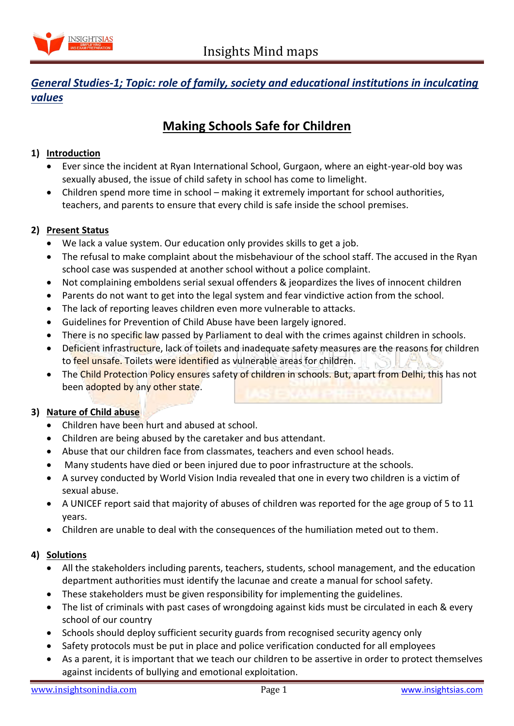

# *General Studies-1; Topic: role of family, society and educational institutions in inculcating values*

# **Making Schools Safe for Children**

## **1) Introduction**

- Ever since the incident at Ryan International School, Gurgaon, where an eight-year-old boy was sexually abused, the issue of child safety in school has come to limelight.
- Children spend more time in school making it extremely important for school authorities, teachers, and parents to ensure that every child is safe inside the school premises.

#### **2) Present Status**

- We lack a value system. Our education only provides skills to get a job.
- The refusal to make complaint about the misbehaviour of the school staff. The accused in the Ryan school case was suspended at another school without a police complaint.
- Not complaining emboldens serial sexual offenders & jeopardizes the lives of innocent children
- Parents do not want to get into the legal system and fear vindictive action from the school.
- The lack of reporting leaves children even more vulnerable to attacks.
- Guidelines for Prevention of Child Abuse have been largely ignored.
- There is no specific law passed by Parliament to deal with the crimes against children in schools.
- Deficient infrastructure, lack of toilets and inadequate safety measures are the reasons for children to feel unsafe. Toilets were identified as vulnerable areas for children.
- The Child Protection Policy ensures safety of children in schools. But, apart from Delhi, this has not been adopted by any other state.

#### **3) Nature of Child abuse**

- Children have been hurt and abused at school.
- Children are being abused by the caretaker and bus attendant.
- Abuse that our children face from classmates, teachers and even school heads.
- Many students have died or been injured due to poor infrastructure at the schools.
- A survey conducted by World Vision India revealed that one in every two children is a victim of sexual abuse.
- A UNICEF report said that majority of abuses of children was reported for the age group of 5 to 11 years.
- Children are unable to deal with the consequences of the humiliation meted out to them.

#### **4) Solutions**

- All the stakeholders including parents, teachers, students, school management, and the education department authorities must identify the lacunae and create a manual for school safety.
- These stakeholders must be given responsibility for implementing the guidelines.
- The list of criminals with past cases of wrongdoing against kids must be circulated in each & every school of our country
- Schools should deploy sufficient security guards from recognised security agency only
- Safety protocols must be put in place and police verification conducted for all employees
- As a parent, it is important that we teach our children to be assertive in order to protect themselves against incidents of bullying and emotional exploitation.